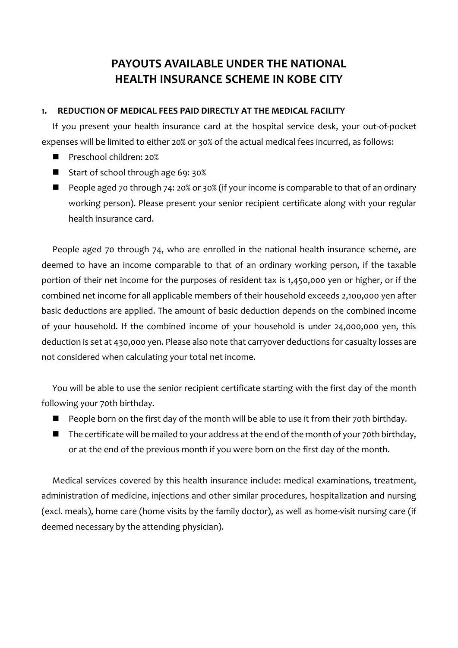# **PAYOUTS AVAILABLE UNDER THE NATIONAL HEALTH INSURANCE SCHEME IN KOBE CITY**

### **1. REDUCTION OF MEDICAL FEES PAID DIRECTLY AT THE MEDICAL FACILITY**

If you present your health insurance card at the hospital service desk, your out-of-pocket expenses will be limited to either 20% or 30% of the actual medical fees incurred, as follows:

- Preschool children: 20%
- Start of school through age 69: 30%
- People aged 70 through 74: 20% or 30% (if your income is comparable to that of an ordinary working person). Please present your senior recipient certificate along with your regular health insurance card.

People aged 70 through 74, who are enrolled in the national health insurance scheme, are deemed to have an income comparable to that of an ordinary working person, if the taxable portion of their net income for the purposes of resident tax is 1,450,000 yen or higher, or if the combined net income for all applicable members of their household exceeds 2,100,000 yen after basic deductions are applied. The amount of basic deduction depends on the combined income of your household. If the combined income of your household is under 24,000,000 yen, this deduction is set at 430,000 yen. Please also note that carryover deductions for casualty losses are not considered when calculating your total net income.

You will be able to use the senior recipient certificate starting with the first day of the month following your 70th birthday.

- People born on the first day of the month will be able to use it from their 70th birthday.
- $\blacksquare$  The certificate will be mailed to your address at the end of the month of your 70th birthday, or at the end of the previous month if you were born on the first day of the month.

Medical services covered by this health insurance include: medical examinations, treatment, administration of medicine, injections and other similar procedures, hospitalization and nursing (excl. meals), home care (home visits by the family doctor), as well as home-visit nursing care (if deemed necessary by the attending physician).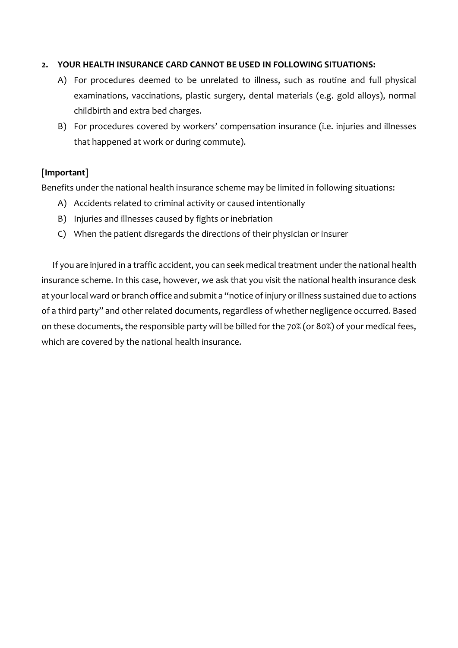## **2. YOUR HEALTH INSURANCE CARD CANNOT BE USED IN FOLLOWING SITUATIONS:**

- A) For procedures deemed to be unrelated to illness, such as routine and full physical examinations, vaccinations, plastic surgery, dental materials (e.g. gold alloys), normal childbirth and extra bed charges.
- B) For procedures covered by workers' compensation insurance (i.e. injuries and illnesses that happened at work or during commute).

## **[Important]**

Benefits under the national health insurance scheme may be limited in following situations:

- A) Accidents related to criminal activity or caused intentionally
- B) Injuries and illnesses caused by fights or inebriation
- C) When the patient disregards the directions of their physician or insurer

If you are injured in a traffic accident, you can seek medical treatment under the national health insurance scheme. In this case, however, we ask that you visit the national health insurance desk at your local ward or branch office and submit a "notice of injury or illness sustained due to actions of a third party" and other related documents, regardless of whether negligence occurred. Based on these documents, the responsible party will be billed for the 70% (or 80%) of your medical fees, which are covered by the national health insurance.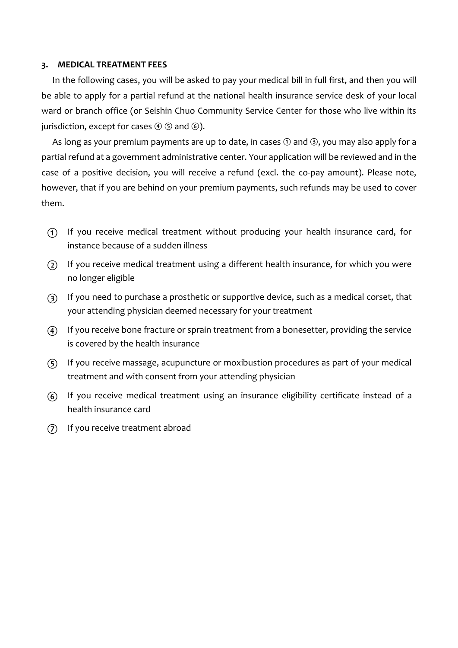#### **3. MEDICAL TREATMENT FEES**

In the following cases, you will be asked to pay your medical bill in full first, and then you will be able to apply for a partial refund at the national health insurance service desk of your local ward or branch office (or Seishin Chuo Community Service Center for those who live within its jurisdiction, except for cases  $\Theta$   $\odot$  and  $\odot$ ).

As long as your premium payments are up to date, in cases  $\odot$  and  $\odot$ , you may also apply for a partial refund at a government administrative center. Your application will be reviewed and in the case of a positive decision, you will receive a refund (excl. the co-pay amount). Please note, however, that if you are behind on your premium payments, such refunds may be used to cover them.

- ① If you receive medical treatment without producing your health insurance card, for instance because of a sudden illness
- ② If you receive medical treatment using a different health insurance, for which you were no longer eligible
- ③ If you need to purchase a prosthetic or supportive device, such as a medical corset, that your attending physician deemed necessary for your treatment
- ④ If you receive bone fracture or sprain treatment from a bonesetter, providing the service is covered by the health insurance
- ⑤ If you receive massage, acupuncture or moxibustion procedures as part of your medical treatment and with consent from your attending physician
- ⑥ If you receive medical treatment using an insurance eligibility certificate instead of a health insurance card
- ⑦ If you receive treatment abroad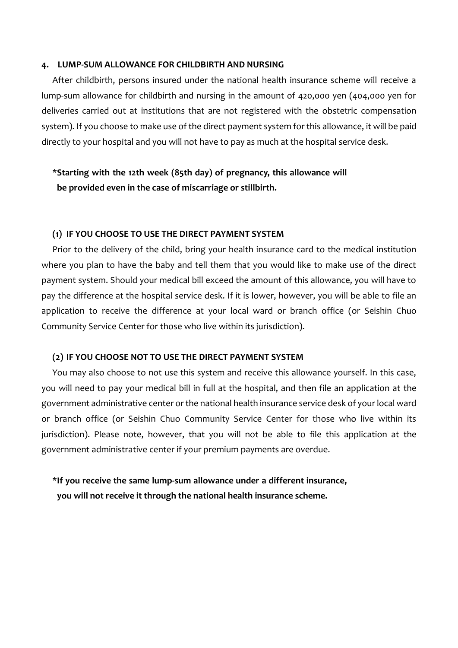#### **4. LUMP-SUM ALLOWANCE FOR CHILDBIRTH AND NURSING**

After childbirth, persons insured under the national health insurance scheme will receive a lump-sum allowance for childbirth and nursing in the amount of 420,000 yen (404,000 yen for deliveries carried out at institutions that are not registered with the obstetric compensation system). If you choose to make use of the direct payment system for this allowance, it will be paid directly to your hospital and you will not have to pay as much at the hospital service desk.

## **\*Starting with the 12th week (85th day) of pregnancy, this allowance will be provided even in the case of miscarriage or stillbirth.**

#### **(1) IF YOU CHOOSE TO USE THE DIRECT PAYMENT SYSTEM**

Prior to the delivery of the child, bring your health insurance card to the medical institution where you plan to have the baby and tell them that you would like to make use of the direct payment system. Should your medical bill exceed the amount of this allowance, you will have to pay the difference at the hospital service desk. If it is lower, however, you will be able to file an application to receive the difference at your local ward or branch office (or Seishin Chuo Community Service Center for those who live within its jurisdiction).

#### **(2) IF YOU CHOOSE NOT TO USE THE DIRECT PAYMENT SYSTEM**

You may also choose to not use this system and receive this allowance yourself. In this case, you will need to pay your medical bill in full at the hospital, and then file an application at the government administrative center or the national health insurance service desk of your local ward or branch office (or Seishin Chuo Community Service Center for those who live within its jurisdiction). Please note, however, that you will not be able to file this application at the government administrative center if your premium payments are overdue.

**\*If you receive the same lump-sum allowance under a different insurance, you will not receive it through the national health insurance scheme.**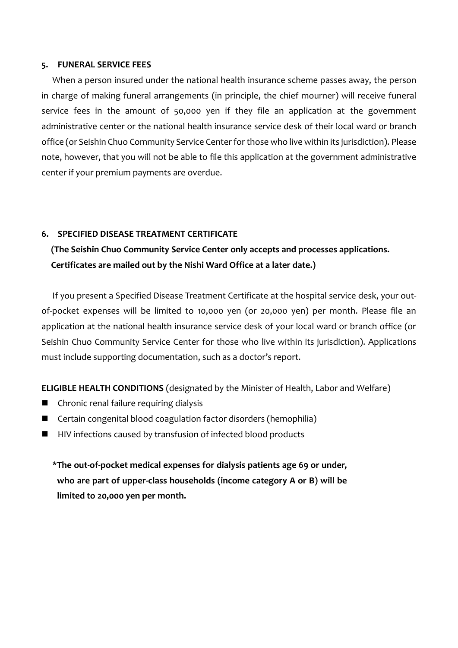#### **5. FUNERAL SERVICE FEES**

When a person insured under the national health insurance scheme passes away, the person in charge of making funeral arrangements (in principle, the chief mourner) will receive funeral service fees in the amount of 50,000 yen if they file an application at the government administrative center or the national health insurance service desk of their local ward or branch office (or Seishin Chuo Community Service Center for those who live within its jurisdiction). Please note, however, that you will not be able to file this application at the government administrative center if your premium payments are overdue.

#### **6. SPECIFIED DISEASE TREATMENT CERTIFICATE**

## **(The Seishin Chuo Community Service Center only accepts and processes applications. Certificates are mailed out by the Nishi Ward Office at a later date.)**

If you present a Specified Disease Treatment Certificate at the hospital service desk, your outof-pocket expenses will be limited to 10,000 yen (or 20,000 yen) per month. Please file an application at the national health insurance service desk of your local ward or branch office (or Seishin Chuo Community Service Center for those who live within its jurisdiction). Applications must include supporting documentation, such as a doctor's report.

**ELIGIBLE HEALTH CONDITIONS** (designated by the Minister of Health, Labor and Welfare)

- Chronic renal failure requiring dialysis
- Certain congenital blood coagulation factor disorders (hemophilia)
- HIV infections caused by transfusion of infected blood products

**\*The out-of-pocket medical expenses for dialysis patients age 69 or under, who are part of upper-class households (income category A or B) will be limited to 20,000 yen per month.**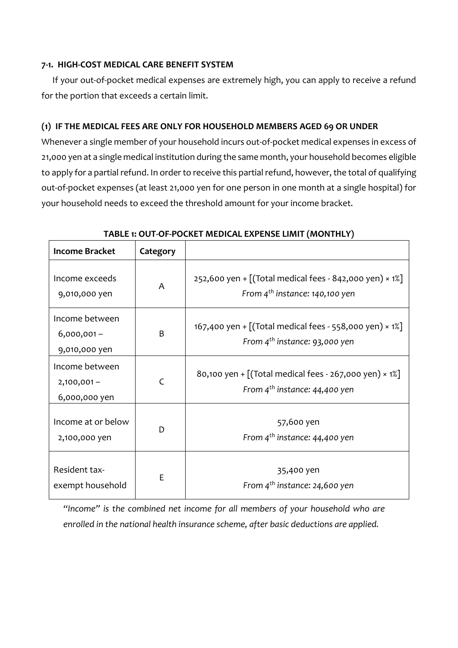### **7-1. HIGH-COST MEDICAL CARE BENEFIT SYSTEM**

If your out-of-pocket medical expenses are extremely high, you can apply to receive a refund for the portion that exceeds a certain limit.

## **(1) IF THE MEDICAL FEES ARE ONLY FOR HOUSEHOLD MEMBERS AGED 69 OR UNDER**

Whenever a single member of your household incurs out-of-pocket medical expenses in excess of 21,000 yen at a single medical institution during the same month, your household becomes eligible to apply for a partial refund. In order to receive this partial refund, however, the total of qualifying out-of-pocket expenses (at least 21,000 yen for one person in one month at a single hospital) for your household needs to exceed the threshold amount for your income bracket.

| <b>Income Bracket</b>                            | Category       |                                                                                                        |
|--------------------------------------------------|----------------|--------------------------------------------------------------------------------------------------------|
| Income exceeds<br>9,010,000 yen                  | A              | 252,600 yen + $[(Total medical fees - 842,000 yen) \times 1\%]$<br>From $4^{th}$ instance: 140,100 yen |
| Income between<br>$6,000,001 -$<br>9,010,000 yen | B              | 167,400 yen + $[(Total medical fees - 558,000 yen) \times 1%]$<br>From $4^{th}$ instance: 93,000 yen   |
| Income between<br>$2,100,001 -$<br>6,000,000 yen | $\overline{C}$ | 80,100 yen + $[(Total medical fees - 267,000 yen) \times 1%]$<br>From $4^{th}$ instance: 44,400 yen    |
| Income at or below<br>2,100,000 yen              | D              | 57,600 yen<br>From $4^{th}$ instance: 44,400 yen                                                       |
| Resident tax-<br>exempt household                | E              | 35,400 yen<br>From $4^{th}$ instance: 24,600 yen                                                       |

**TABLE 1: OUT-OF-POCKET MEDICAL EXPENSE LIMIT (MONTHLY)**

*"Income" is the combined net income for all members of your household who are enrolled in the national health insurance scheme, after basic deductions are applied.*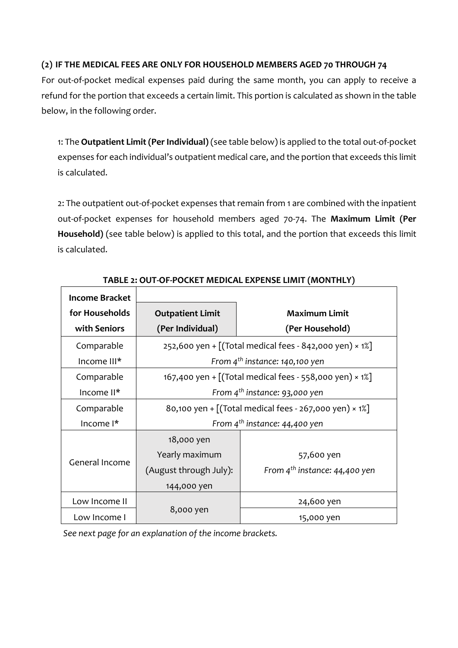## **(2) IF THE MEDICAL FEES ARE ONLY FOR HOUSEHOLD MEMBERS AGED 70 THROUGH 74**

For out-of-pocket medical expenses paid during the same month, you can apply to receive a refund for the portion that exceeds a certain limit. This portion is calculated as shown in the table below, in the following order.

1: The **Outpatient Limit (Per Individual)** (see table below) is applied to the total out-of-pocket expenses for each individual's outpatient medical care, and the portion that exceeds this limit is calculated.

2: The outpatient out-of-pocket expenses that remain from 1 are combined with the inpatient out-of-pocket expenses for household members aged 70-74. The **Maximum Limit (Per Household)** (see table below) is applied to this total, and the portion that exceeds this limit is calculated.

| <b>Income Bracket</b> |                                                               |                                    |  |  |  |
|-----------------------|---------------------------------------------------------------|------------------------------------|--|--|--|
| for Households        | <b>Outpatient Limit</b>                                       | <b>Maximum Limit</b>               |  |  |  |
| with Seniors          | (Per Individual)                                              | (Per Household)                    |  |  |  |
| Comparable            | 252,600 yen + [(Total medical fees - 842,000 yen) × 1%]       |                                    |  |  |  |
| Income III*           | From $4^{th}$ instance: 140,100 yen                           |                                    |  |  |  |
| Comparable            | 167,400 yen + [(Total medical fees - 558,000 yen) × 1%]       |                                    |  |  |  |
| Income II*            | From $4^{th}$ instance: 93,000 yen                            |                                    |  |  |  |
| Comparable            | 80,100 yen + $[(Total medical fees - 267,000 yen) \times 1%]$ |                                    |  |  |  |
| Income <sup>1*</sup>  | From $4^{th}$ instance: 44,400 yen                            |                                    |  |  |  |
|                       | 18,000 yen                                                    |                                    |  |  |  |
| General Income        | Yearly maximum                                                | 57,600 yen                         |  |  |  |
|                       | (August through July):                                        | From $4^{th}$ instance: 44,400 yen |  |  |  |
|                       | 144,000 yen                                                   |                                    |  |  |  |
| Low Income II         |                                                               | 24,600 yen                         |  |  |  |
| Low Income I          | 8,000 yen                                                     | 15,000 yen                         |  |  |  |

**TABLE 2: OUT-OF-POCKET MEDICAL EXPENSE LIMIT (MONTHLY)**

*See next page for an explanation of the income brackets.*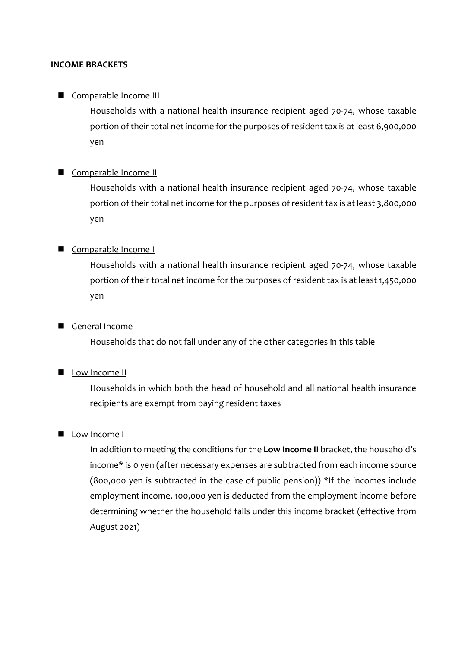#### **INCOME BRACKETS**

### Comparable Income III

Households with a national health insurance recipient aged 70-74, whose taxable portion of their total net income for the purposes of resident tax is at least 6,900,000 yen

#### Comparable Income II

Households with a national health insurance recipient aged 70-74, whose taxable portion of their total net income for the purposes of resident tax is at least 3,800,000 yen

#### Comparable Income I

Households with a national health insurance recipient aged 70-74, whose taxable portion of their total net income for the purposes of resident tax is at least 1,450,000 yen

### General Income

Households that do not fall under any of the other categories in this table

### **Low Income II**

Households in which both the head of household and all national health insurance recipients are exempt from paying resident taxes

### Low Income I

In addition to meeting the conditions for the **Low Income II** bracket, the household's income\* is 0 yen (after necessary expenses are subtracted from each income source (800,000 yen is subtracted in the case of public pension)) \*If the incomes include employment income, 100,000 yen is deducted from the employment income before determining whether the household falls under this income bracket (effective from August 2021)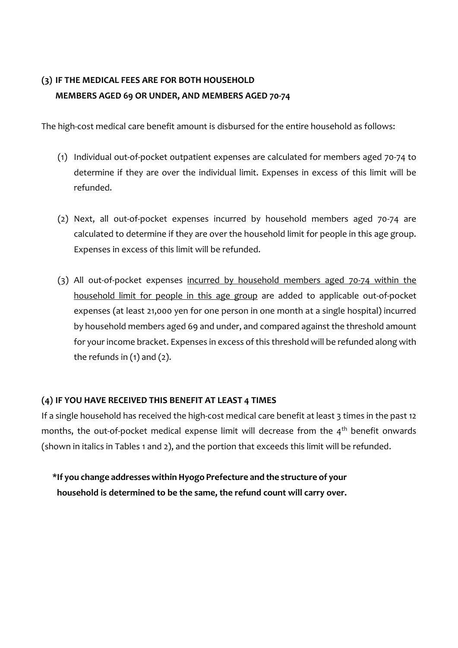# **(3) IF THE MEDICAL FEES ARE FOR BOTH HOUSEHOLD MEMBERS AGED 69 OR UNDER, AND MEMBERS AGED 70-74**

The high-cost medical care benefit amount is disbursed for the entire household as follows:

- (1) Individual out-of-pocket outpatient expenses are calculated for members aged 70-74 to determine if they are over the individual limit. Expenses in excess of this limit will be refunded.
- (2) Next, all out-of-pocket expenses incurred by household members aged 70-74 are calculated to determine if they are over the household limit for people in this age group. Expenses in excess of this limit will be refunded.
- (3) All out-of-pocket expenses incurred by household members aged 70-74 within the household limit for people in this age group are added to applicable out-of-pocket expenses (at least 21,000 yen for one person in one month at a single hospital) incurred by household members aged 69 and under, and compared against the threshold amount for your income bracket. Expenses in excess of this threshold will be refunded along with the refunds in  $(1)$  and  $(2)$ .

## **(4) IF YOU HAVE RECEIVED THIS BENEFIT AT LEAST 4 TIMES**

If a single household has received the high-cost medical care benefit at least 3 times in the past 12 months, the out-of-pocket medical expense limit will decrease from the  $4<sup>th</sup>$  benefit onwards (shown in italics in Tables 1 and 2), and the portion that exceeds this limit will be refunded.

**\*If you change addresses within Hyogo Prefecture and the structure of your household is determined to be the same, the refund count will carry over.**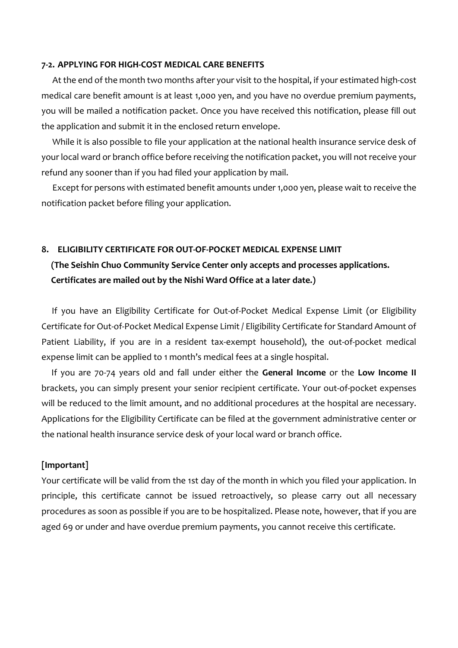#### **7-2. APPLYING FOR HIGH-COST MEDICAL CARE BENEFITS**

At the end of the month two months after your visit to the hospital, if your estimated high-cost medical care benefit amount is at least 1,000 yen, and you have no overdue premium payments, you will be mailed a notification packet. Once you have received this notification, please fill out the application and submit it in the enclosed return envelope.

While it is also possible to file your application at the national health insurance service desk of your local ward or branch office before receiving the notification packet, you will not receive your refund any sooner than if you had filed your application by mail.

Except for persons with estimated benefit amounts under 1,000 yen, please wait to receive the notification packet before filing your application.

#### **8. ELIGIBILITY CERTIFICATE FOR OUT-OF-POCKET MEDICAL EXPENSE LIMIT**

## **(The Seishin Chuo Community Service Center only accepts and processes applications. Certificates are mailed out by the Nishi Ward Office at a later date.)**

If you have an Eligibility Certificate for Out-of-Pocket Medical Expense Limit (or Eligibility Certificate for Out-of-Pocket Medical Expense Limit / Eligibility Certificate for Standard Amount of Patient Liability, if you are in a resident tax-exempt household), the out-of-pocket medical expense limit can be applied to 1 month's medical fees at a single hospital.

If you are 70-74 years old and fall under either the **General Income** or the **Low Income II** brackets, you can simply present your senior recipient certificate. Your out-of-pocket expenses will be reduced to the limit amount, and no additional procedures at the hospital are necessary. Applications for the Eligibility Certificate can be filed at the government administrative center or the national health insurance service desk of your local ward or branch office.

#### **[Important]**

Your certificate will be valid from the 1st day of the month in which you filed your application. In principle, this certificate cannot be issued retroactively, so please carry out all necessary procedures as soon as possible if you are to be hospitalized. Please note, however, that if you are aged 69 or under and have overdue premium payments, you cannot receive this certificate.